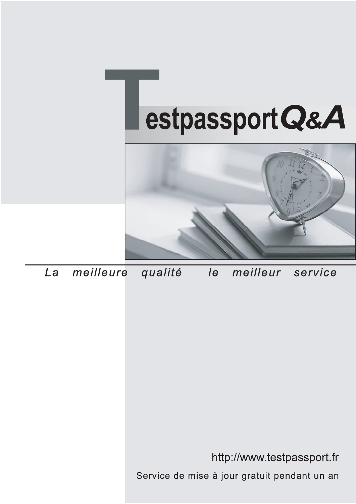



meilleure La qualité  $\overline{e}$ meilleur service

http://www.testpassport.fr

Service de mise à jour gratuit pendant un an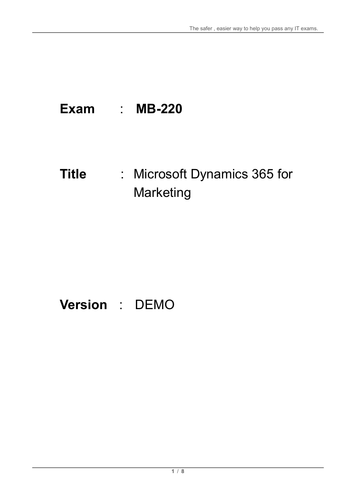# **Exam** : **MB-220**

# **Title** : Microsoft Dynamics 365 for **Marketing**

# **Version** : DEMO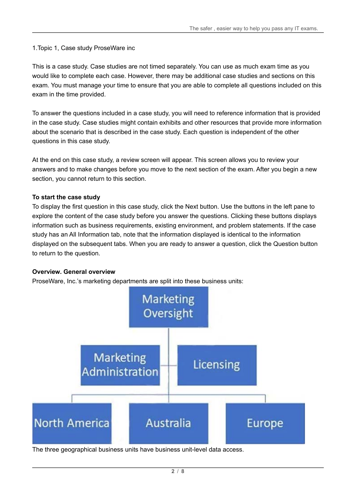1.Topic 1, Case study ProseWare inc

This is a case study. Case studies are not timed separately. You can use as much exam time as you would like to complete each case. However, there may be additional case studies and sections on this exam. You must manage your time to ensure that you are able to complete all questions included on this exam in the time provided.

To answer the questions included in a case study, you will need to reference information that is provided in the case study. Case studies might contain exhibits and other resources that provide more information about the scenario that is described in the case study. Each question is independent of the other questions in this case study.

At the end on this case study, a review screen will appear. This screen allows you to review your answers and to make changes before you move to the next section of the exam. After you begin a new section, you cannot return to this section.

#### **To start the case study**

To display the first question in this case study, click the Next button. Use the buttons in the left pane to explore the content of the case study before you answer the questions. Clicking these buttons displays information such as business requirements, existing environment, and problem statements. If the case study has an All Information tab, note that the information displayed is identical to the information displayed on the subsequent tabs. When you are ready to answer a question, click the Question button to return to the question.

#### **Overview. General overview**

ProseWare, Inc.'s marketing departments are split into these business units:



The three geographical business units have business unit-level data access.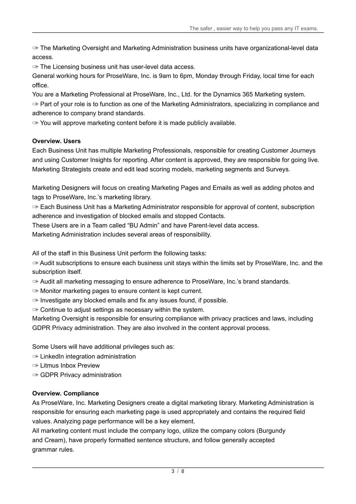✑ The Marketing Oversight and Marketing Administration business units have organizational-level data access.

✑ The Licensing business unit has user-level data access.

General working hours for ProseWare, Inc. is 9am to 6pm, Monday through Friday, local time for each office.

You are a Marketing Professional at ProseWare, Inc., Ltd. for the Dynamics 365 Marketing system.  $\infty$  Part of your role is to function as one of the Marketing Administrators, specializing in compliance and adherence to company brand standards.

 $\infty$  You will approve marketing content before it is made publicly available.

#### **Overview. Users**

Each Business Unit has multiple Marketing Professionals, responsible for creating Customer Journeys and using Customer Insights for reporting. After content is approved, they are responsible for going live. Marketing Strategists create and edit lead scoring models, marketing segments and Surveys.

Marketing Designers will focus on creating Marketing Pages and Emails as well as adding photos and tags to ProseWare, Inc.'s marketing library.

✑ Each Business Unit has a Marketing Administrator responsible for approval of content, subscription adherence and investigation of blocked emails and stopped Contacts.

These Users are in a Team called "BU Admin" and have Parent-level data access.

Marketing Administration includes several areas of responsibility.

All of the staff in this Business Unit perform the following tasks:

✑ Audit subscriptions to ensure each business unit stays within the limits set by ProseWare, Inc. and the subscription itself.

✑ Audit all marketing messaging to ensure adherence to ProseWare, Inc.'s brand standards.

- ✑ Monitor marketing pages to ensure content is kept current.
- $\infty$  Investigate any blocked emails and fix any issues found, if possible.
- ✑ Continue to adjust settings as necessary within the system.

Marketing Oversight is responsible for ensuring compliance with privacy practices and laws, including GDPR Privacy administration. They are also involved in the content approval process.

Some Users will have additional privileges such as:

- ✑ LinkedIn integration administration
- ✑ Litmus Inbox Preview
- ✑ GDPR Privacy administration

#### **Overview. Compliance**

As ProseWare, Inc. Marketing Designers create a digital marketing library. Marketing Administration is responsible for ensuring each marketing page is used appropriately and contains the required field values. Analyzing page performance will be a key element.

All marketing content must include the company logo, utilize the company colors (Burgundy and Cream), have properly formatted sentence structure, and follow generally accepted grammar rules.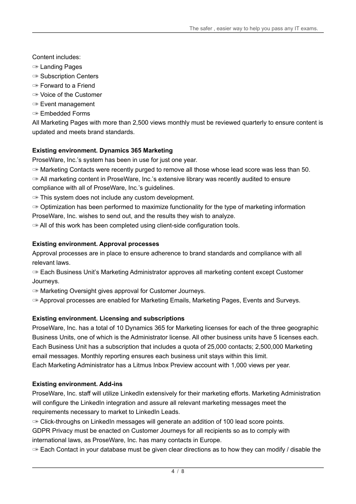# Content includes:

- ✑ Landing Pages
- ✑ Subscription Centers
- ✑ Forward to a Friend
- ✑ Voice of the Customer
- ✑ Event management
- ✑ Embedded Forms

All Marketing Pages with more than 2,500 views monthly must be reviewed quarterly to ensure content is updated and meets brand standards.

# **Existing environment. Dynamics 365 Marketing**

ProseWare, Inc.'s system has been in use for just one year.

 $\infty$  Marketing Contacts were recently purged to remove all those whose lead score was less than 50.

✑ All marketing content in ProseWare, Inc.'s extensive library was recently audited to ensure compliance with all of ProseWare, Inc.'s guidelines.

 $\infty$  This system does not include any custom development.

 $\infty$  Optimization has been performed to maximize functionality for the type of marketing information ProseWare, Inc. wishes to send out, and the results they wish to analyze.

✑ All of this work has been completed using client-side configuration tools.

# **Existing environment. Approval processes**

Approval processes are in place to ensure adherence to brand standards and compliance with all relevant laws.

✑ Each Business Unit's Marketing Administrator approves all marketing content except Customer Journeys.

✑ Marketing Oversight gives approval for Customer Journeys.

✑ Approval processes are enabled for Marketing Emails, Marketing Pages, Events and Surveys.

# **Existing environment. Licensing and subscriptions**

ProseWare, Inc. has a total of 10 Dynamics 365 for Marketing licenses for each of the three geographic Business Units, one of which is the Administrator license. All other business units have 5 licenses each. Each Business Unit has a subscription that includes a quota of 25,000 contacts; 2,500,000 Marketing email messages. Monthly reporting ensures each business unit stays within this limit. Each Marketing Administrator has a Litmus Inbox Preview account with 1,000 views per year.

# **Existing environment. Add-ins**

ProseWare, Inc. staff will utilize LinkedIn extensively for their marketing efforts. Marketing Administration will configure the LinkedIn integration and assure all relevant marketing messages meet the requirements necessary to market to LinkedIn Leads.

✑ Click-throughs on LinkedIn messages will generate an addition of 100 lead score points.

GDPR Privacy must be enacted on Customer Journeys for all recipients so as to comply with international laws, as ProseWare, Inc. has many contacts in Europe.

 $\infty$  Each Contact in your database must be given clear directions as to how they can modify / disable the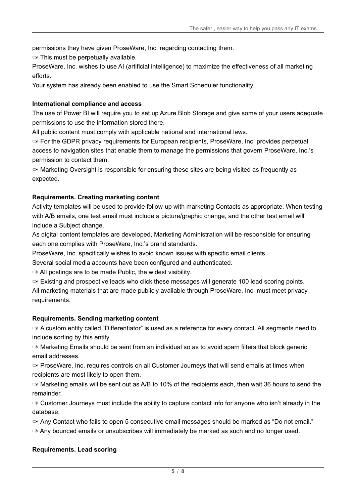permissions they have given ProseWare, Inc. regarding contacting them.

 $\infty$  This must be perpetually available.

ProseWare, Inc. wishes to use AI (artificial intelligence) to maximize the effectiveness of all marketing efforts.

Your system has already been enabled to use the Smart Scheduler functionality.

#### **International compliance and access**

The use of Power BI will require you to set up Azure Blob Storage and give some of your users adequate permissions to use the information stored there.

All public content must comply with applicable national and international laws.

✑ For the GDPR privacy requirements for European recipients, ProseWare, Inc. provides perpetual access to navigation sites that enable them to manage the permissions that govern ProseWare, Inc.'s permission to contact them.

 $\infty$  Marketing Oversight is responsible for ensuring these sites are being visited as frequently as expected.

#### **Requirements. Creating marketing content**

Activity templates will be used to provide follow-up with marketing Contacts as appropriate. When testing with A/B emails, one test email must include a picture/graphic change, and the other test email will include a Subject change.

As digital content templates are developed, Marketing Administration will be responsible for ensuring each one complies with ProseWare, Inc.'s brand standards.

ProseWare, Inc. specifically wishes to avoid known issues with specific email clients.

Several social media accounts have been configured and authenticated.

 $\infty$  All postings are to be made Public, the widest visibility.

 $\infty$  Existing and prospective leads who click these messages will generate 100 lead scoring points. All marketing materials that are made publicly available through ProseWare, Inc. must meet privacy requirements.

#### **Requirements. Sending marketing content**

✑ A custom entity called "Differentiator" is used as a reference for every contact. All segments need to include sorting by this entity.

✑ Marketing Emails should be sent from an individual so as to avoid spam filters that block generic email addresses.

 $\infty$  ProseWare, Inc. requires controls on all Customer Journeys that will send emails at times when recipients are most likely to open them.

 $\infty$  Marketing emails will be sent out as A/B to 10% of the recipients each, then wait 36 hours to send the remainder.

 $\infty$  Customer Journeys must include the ability to capture contact info for anyone who isn't already in the database.

✑ Any Contact who fails to open 5 consecutive email messages should be marked as "Do not email."

 $\infty$  Any bounced emails or unsubscribes will immediately be marked as such and no longer used.

#### **Requirements. Lead scoring**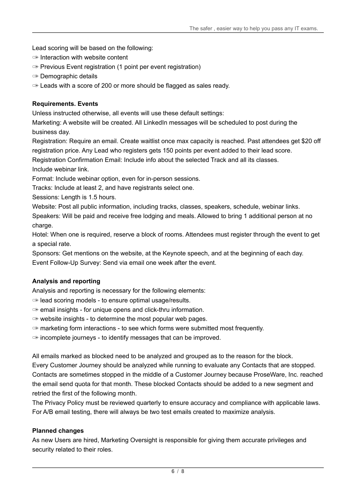Lead scoring will be based on the following:

- $\infty$  Interaction with website content
- ✑ Previous Event registration (1 point per event registration)
- ✑ Demographic details
- ✑ Leads with a score of 200 or more should be flagged as sales ready.

#### **Requirements. Events**

Unless instructed otherwise, all events will use these default settings:

Marketing: A website will be created. All LinkedIn messages will be scheduled to post during the business day.

Registration: Require an email. Create waitlist once max capacity is reached. Past attendees get \$20 off registration price. Any Lead who registers gets 150 points per event added to their lead score.

Registration Confirmation Email: Include info about the selected Track and all its classes.

Include webinar link.

Format: Include webinar option, even for in-person sessions.

Tracks: Include at least 2, and have registrants select one.

Sessions: Length is 1.5 hours.

Website: Post all public information, including tracks, classes, speakers, schedule, webinar links. Speakers: Will be paid and receive free lodging and meals. Allowed to bring 1 additional person at no

charge.

Hotel: When one is required, reserve a block of rooms. Attendees must register through the event to get a special rate.

Sponsors: Get mentions on the website, at the Keynote speech, and at the beginning of each day. Event Follow-Up Survey: Send via email one week after the event.

#### **Analysis and reporting**

Analysis and reporting is necessary for the following elements:

- ✑ lead scoring models to ensure optimal usage/results.
- ✑ email insights for unique opens and click-thru information.
- $\infty$  website insights to determine the most popular web pages.

 $\infty$  marketing form interactions - to see which forms were submitted most frequently.

 $\infty$  incomplete journeys - to identify messages that can be improved.

All emails marked as blocked need to be analyzed and grouped as to the reason for the block.

Every Customer Journey should be analyzed while running to evaluate any Contacts that are stopped. Contacts are sometimes stopped in the middle of a Customer Journey because ProseWare, Inc. reached the email send quota for that month. These blocked Contacts should be added to a new segment and retried the first of the following month.

The Privacy Policy must be reviewed quarterly to ensure accuracy and compliance with applicable laws. For A/B email testing, there will always be two test emails created to maximize analysis.

#### **Planned changes**

As new Users are hired, Marketing Oversight is responsible for giving them accurate privileges and security related to their roles.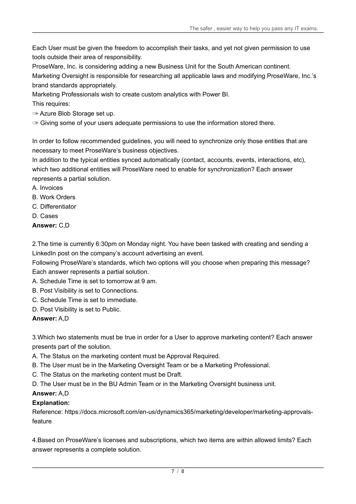Each User must be given the freedom to accomplish their tasks, and yet not given permission to use tools outside their area of responsibility.

ProseWare, Inc. is considering adding a new Business Unit for the South American continent.

Marketing Oversight is responsible for researching all applicable laws and modifying ProseWare, Inc.'s brand standards appropriately.

Marketing Professionals wish to create custom analytics with Power BI.

This requires:

✑ Azure Blob Storage set up.

 $\infty$  Giving some of your users adequate permissions to use the information stored there.

In order to follow recommended guidelines, you will need to synchronize only those entities that are necessary to meet ProseWare's business objectives.

In addition to the typical entities synced automatically (contact, accounts, events, interactions, etc), which two additional entities will ProseWare need to enable for synchronization? Each answer represents a partial solution.

- A. Invoices
- B. Work Orders
- C. Differentiator
- D. Cases

# **Answer:** C,D

2.The time is currently 6:30pm on Monday night. You have been tasked with creating and sending a LinkedIn post on the company's account advertising an event.

Following ProseWare's standards, which two options will you choose when preparing this message? Each answer represents a partial solution.

A. Schedule Time is set to tomorrow at 9 am.

- B. Post Visibility is set to Connections.
- C. Schedule Time is set to immediate.
- D. Post Visibility is set to Public.

# **Answer:** A,D

3.Which two statements must be true in order for a User to approve marketing content? Each answer presents part of the solution.

- A. The Status on the marketing content must be Approval Required.
- B. The User must be in the Marketing Oversight Team or be a Marketing Professional.
- C. The Status on the marketing content must be Draft.
- D. The User must be in the BU Admin Team or in the Marketing Oversight business unit.

# **Answer:** A,D

# **Explanation:**

Reference: https://docs.microsoft.com/en-us/dynamics365/marketing/developer/marketing-approvalsfeature

4.Based on ProseWare's licenses and subscriptions, which two items are within allowed limits? Each answer represents a complete solution.